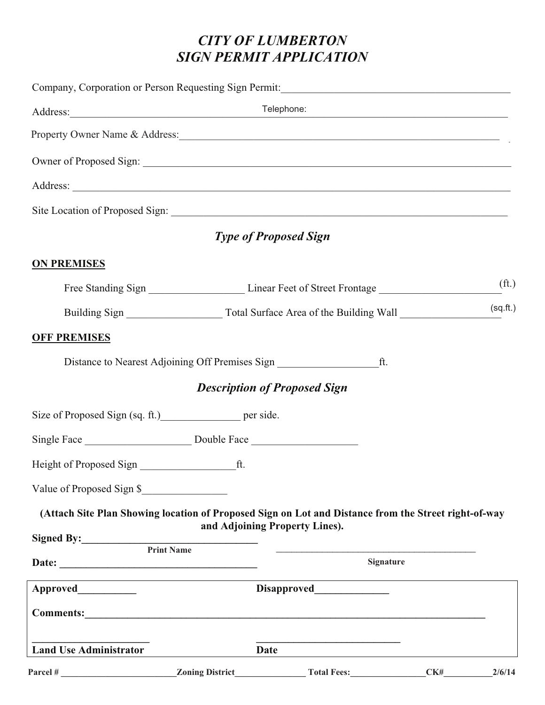# *CITY OF LUMBERTON SIGN PERMIT APPLICATION*

|                                                                                                      |                        | Telephone:                                          | <u> 1999 - Johann John Stone, mars and de la provincia de la provincia de la provincia de la provincia de la pro</u> |                   |
|------------------------------------------------------------------------------------------------------|------------------------|-----------------------------------------------------|----------------------------------------------------------------------------------------------------------------------|-------------------|
| Property Owner Name & Address:                                                                       |                        |                                                     |                                                                                                                      |                   |
|                                                                                                      |                        |                                                     |                                                                                                                      |                   |
|                                                                                                      |                        |                                                     |                                                                                                                      |                   |
|                                                                                                      |                        |                                                     |                                                                                                                      |                   |
|                                                                                                      |                        | <b>Type of Proposed Sign</b>                        |                                                                                                                      |                   |
| <b>ON PREMISES</b>                                                                                   |                        |                                                     |                                                                                                                      |                   |
|                                                                                                      |                        |                                                     |                                                                                                                      | (f <sub>t</sub> ) |
|                                                                                                      |                        |                                                     |                                                                                                                      | (sq.fit.)         |
| <b>OFF PREMISES</b>                                                                                  |                        |                                                     |                                                                                                                      |                   |
|                                                                                                      |                        | Distance to Nearest Adjoining Off Premises Sign ft. |                                                                                                                      |                   |
|                                                                                                      |                        | <b>Description of Proposed Sign</b>                 |                                                                                                                      |                   |
| Size of Proposed Sign (sq. ft.) per side.                                                            |                        |                                                     |                                                                                                                      |                   |
|                                                                                                      |                        |                                                     |                                                                                                                      |                   |
|                                                                                                      |                        |                                                     |                                                                                                                      |                   |
| Value of Proposed Sign \$                                                                            |                        |                                                     |                                                                                                                      |                   |
| (Attach Site Plan Showing location of Proposed Sign on Lot and Distance from the Street right-of-way |                        |                                                     |                                                                                                                      |                   |
|                                                                                                      |                        | and Adjoining Property Lines).                      |                                                                                                                      |                   |
|                                                                                                      | <b>Print Name</b>      |                                                     | <b>Signature</b>                                                                                                     |                   |
|                                                                                                      |                        | <b>Disapproved</b>                                  |                                                                                                                      |                   |
| Comments:                                                                                            |                        |                                                     |                                                                                                                      |                   |
| <b>Land Use Administrator</b>                                                                        |                        | Date                                                |                                                                                                                      |                   |
| Parcel#                                                                                              | <b>Zoning District</b> | <b>Total Fees:</b>                                  | CK#                                                                                                                  | 2/6/14            |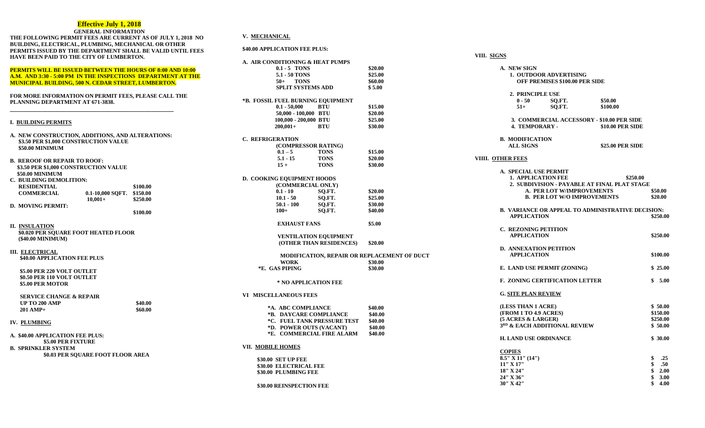#### **Effective July 1, 2018**

|                                                                   | <b>GENERAL INFORMATION</b>        |                                                             |                 |
|-------------------------------------------------------------------|-----------------------------------|-------------------------------------------------------------|-----------------|
|                                                                   |                                   | THE FOLLOWING PERMIT FEES ARE CURRENT AS OF JULY 1, 2018 NO | V. MECHANIC     |
| BUILDING, ELECTRICAL, PLUMBING, MECHANICAL OR OTHER               |                                   |                                                             |                 |
|                                                                   |                                   | PERMITS ISSUED BY THE DEPARTMENT SHALL BE VALID UNTIL FEES  | \$40.00 APPLICA |
| HAVE BEEN PAID TO THE CITY OF LUMBERTON.                          |                                   |                                                             | A. AIR CONDIT   |
|                                                                   |                                   |                                                             | 0.1             |
| <b>PERMITS WILL BE ISSUED BETWEEN THE HOURS OF 8:00 AND 10:00</b> |                                   |                                                             | 5.1             |
| A.M. AND 3:30 - 5:00 PM IN THE INSPECTIONS DEPARTMENT AT THE      |                                   |                                                             | 50              |
| <b>MUNICIPAL BUILDING, 500 N. CEDAR STREET, LUMBERTON.</b>        |                                   |                                                             | <b>SP</b>       |
| <b>FOR MORE INFORMATION ON PERMIT FEES, PLEASE CALL THE</b>       |                                   |                                                             |                 |
| PLANNING DEPARTMENT AT 671-3838.                                  |                                   |                                                             | *B. FOSSIL FU   |
|                                                                   |                                   |                                                             | 0.1             |
|                                                                   |                                   |                                                             | 50.             |
| <b>I. BUILDING PERMITS</b>                                        |                                   |                                                             | 100             |
|                                                                   |                                   |                                                             | 200             |
| A. NEW CONSTRUCTION, ADDITIONS, AND ALTERATIONS:                  |                                   |                                                             |                 |
| \$3.50 PER \$1,000 CONSTRUCTION VALUE                             |                                   |                                                             | C. REFRIGERA    |
| \$50.00 MINIMUM                                                   |                                   |                                                             | (C)             |
|                                                                   |                                   |                                                             | 0.1             |
| <b>B. REROOF OR REPAIR TO ROOF:</b>                               |                                   |                                                             | 5.              |
| \$3.50 PER \$1,000 CONSTRUCTION VALUE                             |                                   |                                                             | 15              |
| \$50.00 MINIMUM                                                   |                                   |                                                             |                 |
| C. BUILDING DEMOLITION:                                           |                                   |                                                             | D. COOKING E    |
| <b>RESIDENTIAL</b>                                                |                                   | \$100.00                                                    | (C)<br>0.1      |
| <b>COMMERCIAL</b>                                                 | 0.1-10,000 SOFT.                  | \$150.00                                                    | 10.             |
|                                                                   | $10,001+$                         | \$250.00                                                    | 50.             |
| <b>D. MOVING PERMIT:</b>                                          |                                   |                                                             | 10              |
|                                                                   |                                   | \$100.00                                                    |                 |
| <b>II. INSULATION</b>                                             |                                   |                                                             | E.              |
| <b>\$0.020 PER SQUARE FOOT HEATED FLOOR</b>                       |                                   |                                                             |                 |
| (\$40.00 MINIMUM)                                                 |                                   |                                                             | $\mathbf{V}$    |
|                                                                   |                                   |                                                             | $\mathcal{I}$   |
| <b>III. ELECTRICAL</b>                                            |                                   |                                                             |                 |
| \$40.00 APPLICATION FEE PLUS                                      |                                   |                                                             | Þ               |
|                                                                   |                                   |                                                             |                 |
| \$5.00 PER 220 VOLT OUTLET                                        |                                   |                                                             | *E. GAS!        |
| \$0.50 PER 110 VOLT OUTLET                                        |                                   |                                                             |                 |
| \$5.00 PER MOTOR                                                  |                                   |                                                             | * 1             |
|                                                                   |                                   |                                                             | VI MISCELLA     |
| <b>SERVICE CHANGE &amp; REPAIR</b>                                |                                   |                                                             |                 |
| <b>UP TO 200 AMP</b>                                              |                                   | \$40.00                                                     | *A. A           |
| 201 AMP+                                                          |                                   | \$60.00                                                     | $*B. \quad L$   |
|                                                                   |                                   |                                                             | $*C. F$         |
| <b>IV. PLUMBING</b>                                               |                                   |                                                             | $*D. F$         |
| A. \$40.00 APPLICATION FEE PLUS:                                  |                                   |                                                             | *E. C           |
| \$5.00 PER FIXTURE                                                |                                   |                                                             |                 |
| <b>B. SPRINKLER SYSTEM</b>                                        |                                   |                                                             | VII. MOBILE H   |
|                                                                   | \$0.03 PER SQUARE FOOT FLOOR AREA |                                                             |                 |
|                                                                   |                                   |                                                             | \$30.00 SE      |
|                                                                   |                                   |                                                             | \$30.00 EL      |
|                                                                   |                                   |                                                             | \$30.00 PL      |

#### **V. MECHANICAL**

**\$40.00 APPLICATION FEE PLUS:**

|                             | A. AIR CONDITIONING & HEAT PUMPS  |                           |                                                    |
|-----------------------------|-----------------------------------|---------------------------|----------------------------------------------------|
|                             | $0.1 - 5$ TONS                    |                           | \$20.00                                            |
|                             | 5.1 - 50 TONS                     |                           | \$25.00                                            |
|                             | <b>TONS</b><br>50+                |                           | \$60.00                                            |
|                             | <b>SPLIT SYSTEMS ADD</b>          |                           | \$5.00                                             |
|                             | *B. FOSSIL FUEL BURNING EQUIPMENT |                           |                                                    |
|                             | $0.1 - 50,000$                    | <b>BTU</b>                | \$15.00                                            |
|                             | 50,000 - 100,000 BTU              |                           | \$20.00                                            |
|                             | 100,000 - 200,000 BTU             |                           | \$25.00                                            |
|                             | $200,001 +$                       | <b>BTU</b>                | \$30.00                                            |
| C. REFRIGERATION            |                                   |                           |                                                    |
|                             | (COMPRESSOR RATING)               |                           |                                                    |
|                             | $0.1 - 5$                         | <b>TONS</b>               | \$15.00                                            |
|                             | $5.1 - 15$                        | <b>TONS</b>               | \$20.00                                            |
|                             | $15 +$                            | <b>TONS</b>               | \$30.00                                            |
|                             | <b>D. COOKING EQUIPMENT HOODS</b> |                           |                                                    |
|                             | (COMMERCIAL ONLY)                 |                           |                                                    |
|                             | $0.1 - 10$                        | SQ.FT.                    | \$20.00                                            |
|                             | $10.1 - 50$                       | SQ.FT.                    | \$25.00                                            |
|                             | $50.1 - 100$                      | SO.FT.                    | \$30.00                                            |
|                             | $100+$                            | SO.FT.                    | \$40.00                                            |
|                             |                                   |                           |                                                    |
|                             | <b>EXHAUST FANS</b>               |                           | \$5.00                                             |
|                             | <b>VENTILATION EQUIPMENT</b>      |                           |                                                    |
|                             |                                   | (OTHER THAN RESIDENCES)   | \$20.00                                            |
|                             |                                   |                           | <b>MODIFICATION, REPAIR OR REPLACEMENT OF DUCT</b> |
|                             | <b>WORK</b>                       |                           | \$30.00                                            |
|                             | *E. GAS PIPING                    |                           | \$30.00                                            |
|                             | * NO APPLICATION FEE              |                           |                                                    |
|                             | VI MISCELLANEOUS FEES             |                           |                                                    |
|                             | *A. ABC COMPLIANCE                |                           | \$40.00                                            |
|                             | *B. DAYCARE COMPLIANCE            |                           | \$40.00                                            |
| *C. FUEL TANK PRESSURE TEST |                                   | \$40.00                   |                                                    |
|                             | *D. POWER OUTS (VACANT)           |                           | \$40.00                                            |
|                             |                                   | *E. COMMERCIAL FIRE ALARM | \$40.00                                            |
| VII. MOBILE HOMES           |                                   |                           |                                                    |
|                             | \$30.00 SET UP FEE                |                           |                                                    |
|                             | \$30.00 ELECTRICAL FEE            |                           |                                                    |
|                             | \$30.00 PLUMBING FEE              |                           |                                                    |
|                             |                                   |                           |                                                    |

**\$30.00 REINSPECTION FEE**

**VIII. SIGNS**

|                   | A. NEW SIGN<br>1. OUTDOOR ADVERTISING                                                             | <b>OFF PREMISES \$100.00 PER SIDE</b> |                                                                                    |                                                                               |
|-------------------|---------------------------------------------------------------------------------------------------|---------------------------------------|------------------------------------------------------------------------------------|-------------------------------------------------------------------------------|
|                   | 2. PRINCIPLE USE<br>$0 - 50$<br>$51+$                                                             | SQ.FT.<br>SQ.FT.                      | \$50.00<br>\$100.00                                                                |                                                                               |
|                   | <b>4. TEMPORARY -</b>                                                                             |                                       | 3. COMMERCIAL ACCESSORY - \$10.00 PER SIDE<br>\$10.00 PER SIDE                     |                                                                               |
|                   | <b>B. MODIFICATION</b><br><b>ALL SIGNS</b>                                                        |                                       | \$25.00 PER SIDE                                                                   |                                                                               |
| VIIII. OTHER FEES |                                                                                                   |                                       |                                                                                    |                                                                               |
|                   | A. SPECIAL USE PERMIT<br><b>1. APPLICATION FEE</b>                                                | A. PER LOT W/IMPROVEMENTS             | 2. SUBDIVISION - PAYABLE AT FINAL PLAT STAGE<br><b>B. PER LOT W/O IMPROVEMENTS</b> | \$250.00<br>\$50.00<br>\$20.00                                                |
|                   | <b>APPLICATION</b>                                                                                |                                       | <b>B. VARIANCE OR APPEAL TO ADMINISTRATIVE DECISION:</b>                           | \$250.00                                                                      |
|                   | <b>C. REZONING PETITION</b><br><b>APPLICATION</b>                                                 |                                       |                                                                                    | \$250.00                                                                      |
|                   | <b>D. ANNEXATION PETITION</b><br><b>APPLICATION</b>                                               |                                       |                                                                                    | \$100.00                                                                      |
|                   | E. LAND USE PERMIT (ZONING)                                                                       |                                       |                                                                                    | \$25.00                                                                       |
|                   | <b>F. ZONING CERTIFICATION LETTER</b>                                                             |                                       |                                                                                    | \$5.00                                                                        |
|                   | <b>G. SITE PLAN REVIEW</b>                                                                        |                                       |                                                                                    |                                                                               |
|                   | (LESS THAN 1 ACRE)<br>(FROM 1 TO 4.9 ACRES)<br>(5 ACRES & LARGER)<br>3RD & EACH ADDITIONAL REVIEW |                                       |                                                                                    | \$50.00<br>\$150.00<br>\$250.00<br>\$50.00                                    |
|                   | <b>H. LAND USE ORDINANCE</b>                                                                      |                                       |                                                                                    | \$30.00                                                                       |
|                   | <b>COPIES</b><br>$8.5''$ X 11" (14")<br>11" X 17"<br>18" X 24"<br>24" X 36"<br>30" X 42"          |                                       |                                                                                    | .25<br>\$<br>\$<br>.50 <sub>1</sub><br>\$<br>\$<br>2.00<br>3.00<br>\$<br>4.00 |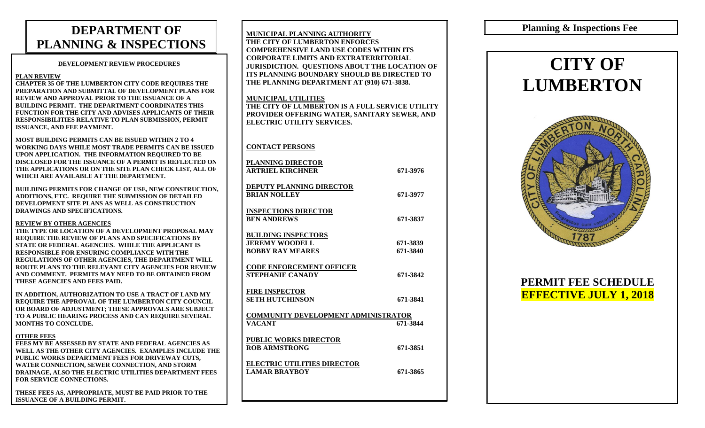# **DEPARTMENT OF PLANNING & INSPECTIONS**

#### **DEVELOPMENT REVIEW PROCEDURES**

#### **PLAN REVIEW**

**CHAPTER 35 OF THE LUMBERTON CITY CODE REQUIRES THE PREPARATION AND SUBMITTAL OF DEVELOPMENT PLANS FOR REVIEW AND APPROVAL PRIOR TO THE ISSUANCE OF A BUILDING PERMIT. THE DEPARTMENT COORDINATES THIS FUNCTION FOR THE CITY AND ADVISES APPLICANTS OF THEIR RESPONSIBILITIES RELATIVE TO PLAN SUBMISSION, PERMIT ISSUANCE, AND FEE PAYMENT.**

**MOST BUILDING PERMITS CAN BE ISSUED WITHIN 2 TO 4 WORKING DAYS WHILE MOST TRADE PERMITS CAN BE ISSUED UPON APPLICATION. THE INFORMATION REQUIRED TO BE DISCLOSED FOR THE ISSUANCE OF A PERMIT IS REFLECTED ON THE APPLICATIONS OR ON THE SITE PLAN CHECK LIST, ALL OF WHICH ARE AVAILABLE AT THE DEPARTMENT.**

**BUILDING PERMITS FOR CHANGE OF USE, NEW CONSTRUCTION, ADDITIONS, ETC. REQUIRE THE SUBMISSION OF DETAILED DEVELOPMENT SITE PLANS AS WELL AS CONSTRUCTION DRAWINGS AND SPECIFICATIONS.**

#### **REVIEW BY OTHER AGENCIES**

**THE TYPE OR LOCATION OF A DEVELOPMENT PROPOSAL MAY REQUIRE THE REVIEW OF PLANS AND SPECIFICATIONS BY STATE OR FEDERAL AGENCIES. WHILE THE APPLICANT IS RESPONSIBLE FOR ENSURING COMPLIANCE WITH THE REGULATIONS OF OTHER AGENCIES, THE DEPARTMENT WILL ROUTE PLANS TO THE RELEVANT CITY AGENCIES FOR REVIEW AND COMMENT. PERMITS MAY NEED TO BE OBTAINED FROM THESE AGENCIES AND FEES PAID.**

**IN ADDITION, AUTHORIZATION TO USE A TRACT OF LAND MY REQUIRE THE APPROVAL OF THE LUMBERTON CITY COUNCIL OR BOARD OF ADJUSTMENT; THESE APPROVALS ARE SUBJECT TO A PUBLIC HEARING PROCESS AND CAN REQUIRE SEVERAL MONTHS TO CONCLUDE.**

#### **OTHER FEES**

**FEES MY BE ASSESSED BY STATE AND FEDERAL AGENCIES AS WELL AS THE OTHER CITY AGENCIES. EXAMPLES INCLUDE THE PUBLIC WORKS DEPARTMENT FEES FOR DRIVEWAY CUTS, WATER CONNECTION, SEWER CONNECTION, AND STORM DRAINAGE, ALSO THE ELECTRIC UTILITIES DEPARTMENT FEES FOR SERVICE CONNECTIONS.**

**THESE FEES AS, APPROPRIATE, MUST BE PAID PRIOR TO THE ISSUANCE OF A BUILDING PERMIT.**

| <b>MUNICIPAL PLANNING AUTHORITY</b><br>THE CITY OF LUMBERTON ENFORCES<br><b>COMPREHENSIVE LAND USE CODES WITHIN ITS</b><br><b>CORPORATE LIMITS AND EXTRATERRITORIAL</b><br><b>JURISDICTION. QUESTIONS ABOUT THE LOCATION OF</b><br><b>ITS PLANNING BOUNDARY SHOULD BE DIRECTED TO</b><br>THE PLANNING DEPARTMENT AT (910) 671-3838. |                      |  |  |
|-------------------------------------------------------------------------------------------------------------------------------------------------------------------------------------------------------------------------------------------------------------------------------------------------------------------------------------|----------------------|--|--|
| <b>MUNICIPAL UTILITIES</b><br>THE CITY OF LUMBERTON IS A FULL SERVICE UTILITY<br>PROVIDER OFFERING WATER, SANITARY SEWER, AND<br><b>ELECTRIC UTILITY SERVICES.</b>                                                                                                                                                                  |                      |  |  |
| <b>CONTACT PERSONS</b>                                                                                                                                                                                                                                                                                                              |                      |  |  |
| PLANNING DIRECTOR<br><b>ARTRIEL KIRCHNER</b>                                                                                                                                                                                                                                                                                        | 671-3976             |  |  |
| <b>DEPUTY PLANNING DIRECTOR</b><br><b>BRIAN NOLLEY</b>                                                                                                                                                                                                                                                                              | 671-3977             |  |  |
| <b>INSPECTIONS DIRECTOR</b><br><b>BEN ANDREWS</b>                                                                                                                                                                                                                                                                                   | 671-3837             |  |  |
| <b>BUILDING INSPECTORS</b><br><b>JEREMY WOODELL</b><br><b>BOBBY RAY MEARES</b>                                                                                                                                                                                                                                                      | 671-3839<br>671-3840 |  |  |
| <b>CODE ENFORCEMENT OFFICER</b><br><b>STEPHANIE CANADY</b>                                                                                                                                                                                                                                                                          | 671-3842             |  |  |
| <b>FIRE INSPECTOR</b><br><b>SETH HUTCHINSON</b>                                                                                                                                                                                                                                                                                     | 671-3841             |  |  |
| COMMUNITY DEVELOPMENT ADMINISTRATOR<br><b>VACANT</b>                                                                                                                                                                                                                                                                                | 671-3844             |  |  |
| <b>PUBLIC WORKS DIRECTOR</b><br><b>ROB ARMSTRONG</b>                                                                                                                                                                                                                                                                                | 671-3851             |  |  |
| <b>ELECTRIC UTILITIES DIRECTOR</b><br><b>LAMAR BRAYBOY</b>                                                                                                                                                                                                                                                                          | 671-3865             |  |  |
|                                                                                                                                                                                                                                                                                                                                     |                      |  |  |

## **Planning & Inspections Fee**

# **CITY OF LUMBERTON**



## **PERMIT FEE SCHEDULE EFFECTIVE JULY 1, 2018**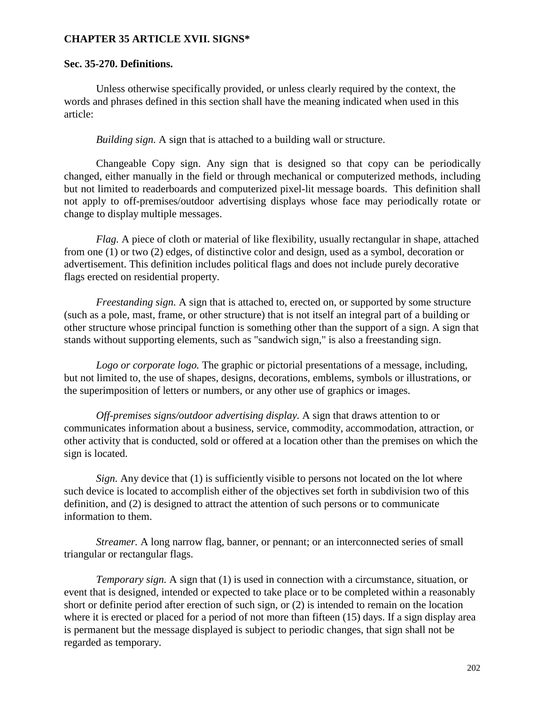#### **CHAPTER 35 ARTICLE XVII. SIGNS\***

#### **Sec. 35-270. Definitions.**

Unless otherwise specifically provided, or unless clearly required by the context, the words and phrases defined in this section shall have the meaning indicated when used in this article:

*Building sign.* A sign that is attached to a building wall or structure.

Changeable Copy sign. Any sign that is designed so that copy can be periodically changed, either manually in the field or through mechanical or computerized methods, including but not limited to readerboards and computerized pixel-lit message boards. This definition shall not apply to off-premises/outdoor advertising displays whose face may periodically rotate or change to display multiple messages.

*Flag.* A piece of cloth or material of like flexibility, usually rectangular in shape, attached from one (1) or two (2) edges, of distinctive color and design, used as a symbol, decoration or advertisement. This definition includes political flags and does not include purely decorative flags erected on residential property.

*Freestanding sign.* A sign that is attached to, erected on, or supported by some structure (such as a pole, mast, frame, or other structure) that is not itself an integral part of a building or other structure whose principal function is something other than the support of a sign. A sign that stands without supporting elements, such as "sandwich sign," is also a freestanding sign.

*Logo or corporate logo.* The graphic or pictorial presentations of a message, including, but not limited to, the use of shapes, designs, decorations, emblems, symbols or illustrations, or the superimposition of letters or numbers, or any other use of graphics or images.

*Off-premises signs/outdoor advertising display.* A sign that draws attention to or communicates information about a business, service, commodity, accommodation, attraction, or other activity that is conducted, sold or offered at a location other than the premises on which the sign is located.

*Sign.* Any device that (1) is sufficiently visible to persons not located on the lot where such device is located to accomplish either of the objectives set forth in subdivision two of this definition, and (2) is designed to attract the attention of such persons or to communicate information to them.

*Streamer.* A long narrow flag, banner, or pennant; or an interconnected series of small triangular or rectangular flags.

*Temporary sign.* A sign that (1) is used in connection with a circumstance, situation, or event that is designed, intended or expected to take place or to be completed within a reasonably short or definite period after erection of such sign, or (2) is intended to remain on the location where it is erected or placed for a period of not more than fifteen (15) days. If a sign display area is permanent but the message displayed is subject to periodic changes, that sign shall not be regarded as temporary.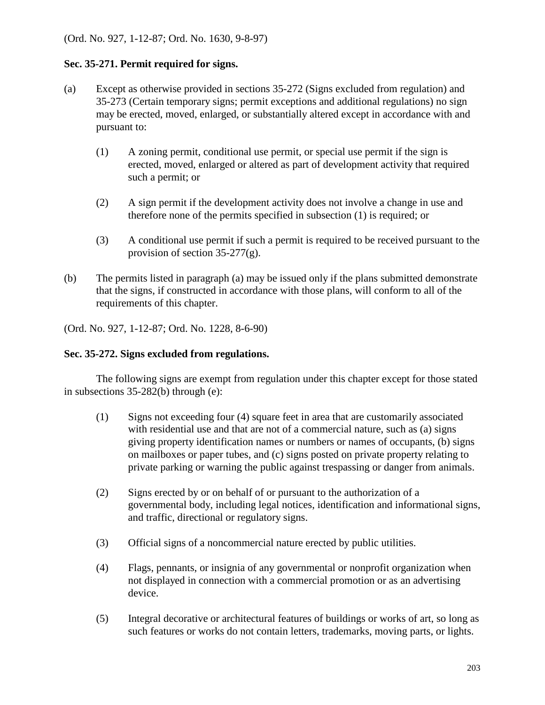#### **Sec. 35-271. Permit required for signs.**

- (a) Except as otherwise provided in sections 35-272 (Signs excluded from regulation) and 35-273 (Certain temporary signs; permit exceptions and additional regulations) no sign may be erected, moved, enlarged, or substantially altered except in accordance with and pursuant to:
	- (1) A zoning permit, conditional use permit, or special use permit if the sign is erected, moved, enlarged or altered as part of development activity that required such a permit; or
	- (2) A sign permit if the development activity does not involve a change in use and therefore none of the permits specified in subsection (1) is required; or
	- (3) A conditional use permit if such a permit is required to be received pursuant to the provision of section 35-277(g).
- (b) The permits listed in paragraph (a) may be issued only if the plans submitted demonstrate that the signs, if constructed in accordance with those plans, will conform to all of the requirements of this chapter.

(Ord. No. 927, 1-12-87; Ord. No. 1228, 8-6-90)

#### **Sec. 35-272. Signs excluded from regulations.**

The following signs are exempt from regulation under this chapter except for those stated in subsections 35-282(b) through (e):

- (1) Signs not exceeding four (4) square feet in area that are customarily associated with residential use and that are not of a commercial nature, such as (a) signs giving property identification names or numbers or names of occupants, (b) signs on mailboxes or paper tubes, and (c) signs posted on private property relating to private parking or warning the public against trespassing or danger from animals.
- (2) Signs erected by or on behalf of or pursuant to the authorization of a governmental body, including legal notices, identification and informational signs, and traffic, directional or regulatory signs.
- (3) Official signs of a noncommercial nature erected by public utilities.
- (4) Flags, pennants, or insignia of any governmental or nonprofit organization when not displayed in connection with a commercial promotion or as an advertising device.
- (5) Integral decorative or architectural features of buildings or works of art, so long as such features or works do not contain letters, trademarks, moving parts, or lights.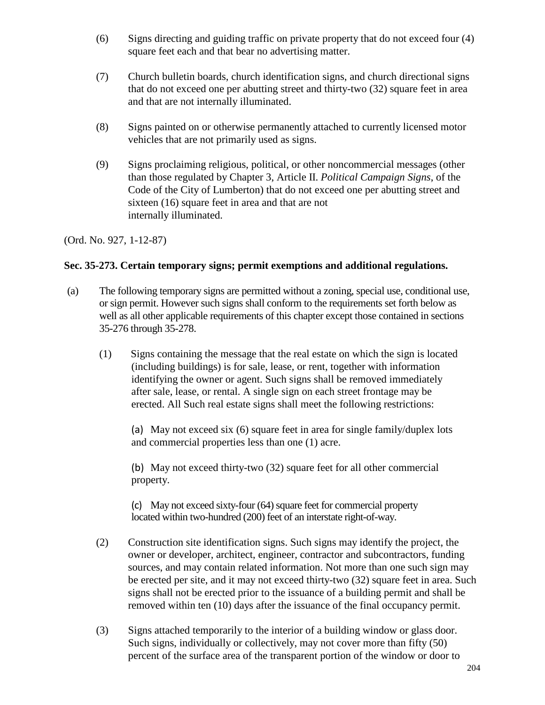- (6) Signs directing and guiding traffic on private property that do not exceed four (4) square feet each and that bear no advertising matter.
- (7) Church bulletin boards, church identification signs, and church directional signs that do not exceed one per abutting street and thirty-two (32) square feet in area and that are not internally illuminated.
- (8) Signs painted on or otherwise permanently attached to currently licensed motor vehicles that are not primarily used as signs.
- (9) Signs proclaiming religious, political, or other noncommercial messages (other than those regulated by Chapter 3, Article II. *Political Campaign Signs*, of the Code of the City of Lumberton) that do not exceed one per abutting street and sixteen (16) square feet in area and that are not internally illuminated.

(Ord. No. 927, 1-12-87)

## **Sec. 35-273. Certain temporary signs; permit exemptions and additional regulations.**

- (a) The following temporary signs are permitted without a zoning, special use, conditional use, or sign permit. However such signs shall conform to the requirements set forth below as well as all other applicable requirements of this chapter except those contained in sections 35-276 through 35-278.
	- (1) Signs containing the message that the real estate on which the sign is located (including buildings) is for sale, lease, or rent, together with information identifying the owner or agent. Such signs shall be removed immediately after sale, lease, or rental. A single sign on each street frontage may be erected. All Such real estate signs shall meet the following restrictions:

(a) May not exceed six (6) square feet in area for single family/duplex lots and commercial properties less than one (1) acre.

(b) May not exceed thirty-two (32) square feet for all other commercial property.

(c) May not exceed sixty-four (64) square feet for commercial property located within two-hundred (200) feet of an interstate right-of-way.

- (2) Construction site identification signs. Such signs may identify the project, the owner or developer, architect, engineer, contractor and subcontractors, funding sources, and may contain related information. Not more than one such sign may be erected per site, and it may not exceed thirty-two (32) square feet in area. Such signs shall not be erected prior to the issuance of a building permit and shall be removed within ten (10) days after the issuance of the final occupancy permit.
- (3) Signs attached temporarily to the interior of a building window or glass door. Such signs, individually or collectively, may not cover more than fifty (50) percent of the surface area of the transparent portion of the window or door to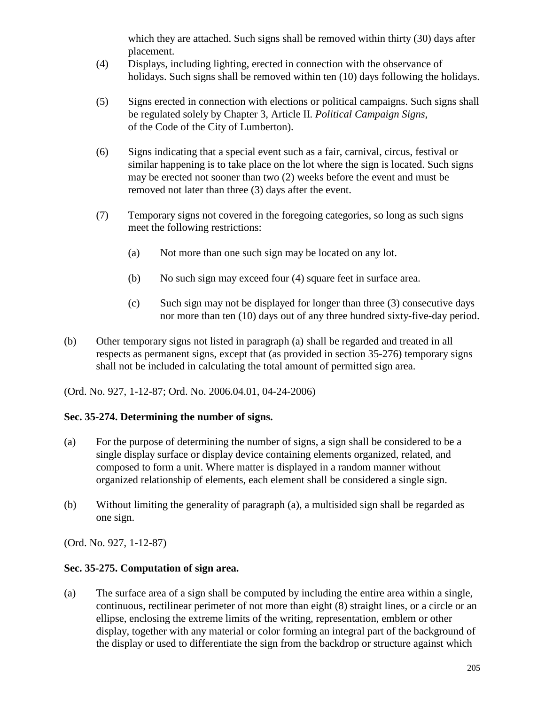which they are attached. Such signs shall be removed within thirty (30) days after placement.

- (4) Displays, including lighting, erected in connection with the observance of holidays. Such signs shall be removed within ten (10) days following the holidays.
- (5) Signs erected in connection with elections or political campaigns. Such signs shall be regulated solely by Chapter 3, Article II. *Political Campaign Signs*, of the Code of the City of Lumberton).
- (6) Signs indicating that a special event such as a fair, carnival, circus, festival or similar happening is to take place on the lot where the sign is located. Such signs may be erected not sooner than two (2) weeks before the event and must be removed not later than three (3) days after the event.
- (7) Temporary signs not covered in the foregoing categories, so long as such signs meet the following restrictions:
	- (a) Not more than one such sign may be located on any lot.
	- (b) No such sign may exceed four (4) square feet in surface area.
	- (c) Such sign may not be displayed for longer than three (3) consecutive days nor more than ten (10) days out of any three hundred sixty-five-day period.
- (b) Other temporary signs not listed in paragraph (a) shall be regarded and treated in all respects as permanent signs, except that (as provided in section 35-276) temporary signs shall not be included in calculating the total amount of permitted sign area.

(Ord. No. 927, 1-12-87; Ord. No. 2006.04.01, 04-24-2006)

### **Sec. 35-274. Determining the number of signs.**

- (a) For the purpose of determining the number of signs, a sign shall be considered to be a single display surface or display device containing elements organized, related, and composed to form a unit. Where matter is displayed in a random manner without organized relationship of elements, each element shall be considered a single sign.
- (b) Without limiting the generality of paragraph (a), a multisided sign shall be regarded as one sign.

(Ord. No. 927, 1-12-87)

### **Sec. 35-275. Computation of sign area.**

(a) The surface area of a sign shall be computed by including the entire area within a single, continuous, rectilinear perimeter of not more than eight (8) straight lines, or a circle or an ellipse, enclosing the extreme limits of the writing, representation, emblem or other display, together with any material or color forming an integral part of the background of the display or used to differentiate the sign from the backdrop or structure against which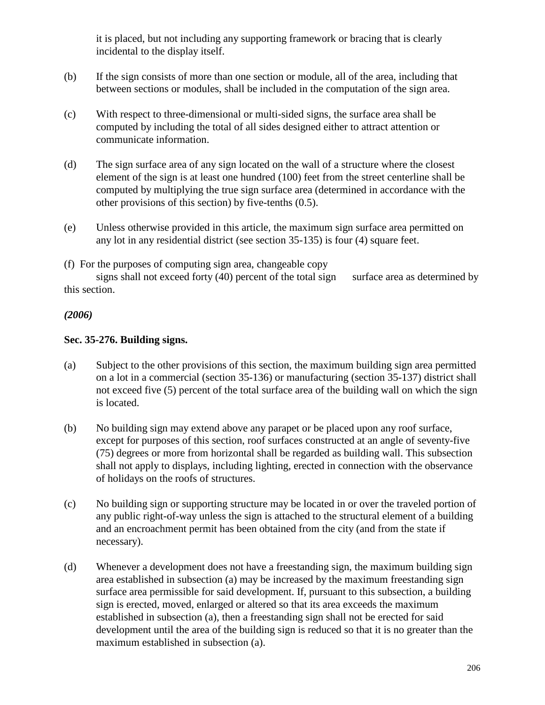it is placed, but not including any supporting framework or bracing that is clearly incidental to the display itself.

- (b) If the sign consists of more than one section or module, all of the area, including that between sections or modules, shall be included in the computation of the sign area.
- (c) With respect to three-dimensional or multi-sided signs, the surface area shall be computed by including the total of all sides designed either to attract attention or communicate information.
- (d) The sign surface area of any sign located on the wall of a structure where the closest element of the sign is at least one hundred (100) feet from the street centerline shall be computed by multiplying the true sign surface area (determined in accordance with the other provisions of this section) by five-tenths (0.5).
- (e) Unless otherwise provided in this article, the maximum sign surface area permitted on any lot in any residential district (see section 35-135) is four (4) square feet.

(f) For the purposes of computing sign area, changeable copy

signs shall not exceed forty  $(40)$  percent of the total sign surface area as determined by this section.

## *(2006)*

## **Sec. 35-276. Building signs.**

- (a) Subject to the other provisions of this section, the maximum building sign area permitted on a lot in a commercial (section 35-136) or manufacturing (section 35-137) district shall not exceed five (5) percent of the total surface area of the building wall on which the sign is located.
- (b) No building sign may extend above any parapet or be placed upon any roof surface, except for purposes of this section, roof surfaces constructed at an angle of seventy-five (75) degrees or more from horizontal shall be regarded as building wall. This subsection shall not apply to displays, including lighting, erected in connection with the observance of holidays on the roofs of structures.
- (c) No building sign or supporting structure may be located in or over the traveled portion of any public right-of-way unless the sign is attached to the structural element of a building and an encroachment permit has been obtained from the city (and from the state if necessary).
- (d) Whenever a development does not have a freestanding sign, the maximum building sign area established in subsection (a) may be increased by the maximum freestanding sign surface area permissible for said development. If, pursuant to this subsection, a building sign is erected, moved, enlarged or altered so that its area exceeds the maximum established in subsection (a), then a freestanding sign shall not be erected for said development until the area of the building sign is reduced so that it is no greater than the maximum established in subsection (a).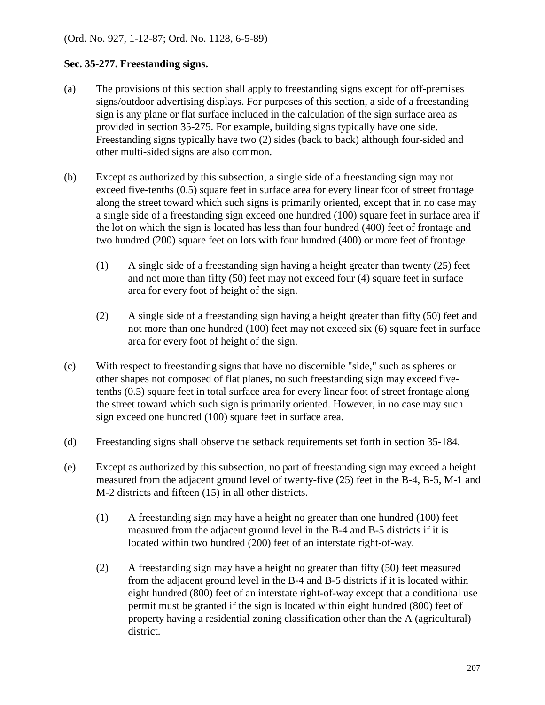## **Sec. 35-277. Freestanding signs.**

- (a) The provisions of this section shall apply to freestanding signs except for off-premises signs/outdoor advertising displays. For purposes of this section, a side of a freestanding sign is any plane or flat surface included in the calculation of the sign surface area as provided in section 35-275. For example, building signs typically have one side. Freestanding signs typically have two (2) sides (back to back) although four-sided and other multi-sided signs are also common.
- (b) Except as authorized by this subsection, a single side of a freestanding sign may not exceed five-tenths (0.5) square feet in surface area for every linear foot of street frontage along the street toward which such signs is primarily oriented, except that in no case may a single side of a freestanding sign exceed one hundred (100) square feet in surface area if the lot on which the sign is located has less than four hundred (400) feet of frontage and two hundred (200) square feet on lots with four hundred (400) or more feet of frontage.
	- (1) A single side of a freestanding sign having a height greater than twenty (25) feet and not more than fifty (50) feet may not exceed four (4) square feet in surface area for every foot of height of the sign.
	- (2) A single side of a freestanding sign having a height greater than fifty (50) feet and not more than one hundred (100) feet may not exceed six (6) square feet in surface area for every foot of height of the sign.
- (c) With respect to freestanding signs that have no discernible "side," such as spheres or other shapes not composed of flat planes, no such freestanding sign may exceed fivetenths (0.5) square feet in total surface area for every linear foot of street frontage along the street toward which such sign is primarily oriented. However, in no case may such sign exceed one hundred (100) square feet in surface area.
- (d) Freestanding signs shall observe the setback requirements set forth in section 35-184.
- (e) Except as authorized by this subsection, no part of freestanding sign may exceed a height measured from the adjacent ground level of twenty-five (25) feet in the B-4, B-5, M-1 and M-2 districts and fifteen (15) in all other districts.
	- (1) A freestanding sign may have a height no greater than one hundred (100) feet measured from the adjacent ground level in the B-4 and B-5 districts if it is located within two hundred (200) feet of an interstate right-of-way.
	- (2) A freestanding sign may have a height no greater than fifty (50) feet measured from the adjacent ground level in the B-4 and B-5 districts if it is located within eight hundred (800) feet of an interstate right-of-way except that a conditional use permit must be granted if the sign is located within eight hundred (800) feet of property having a residential zoning classification other than the A (agricultural) district.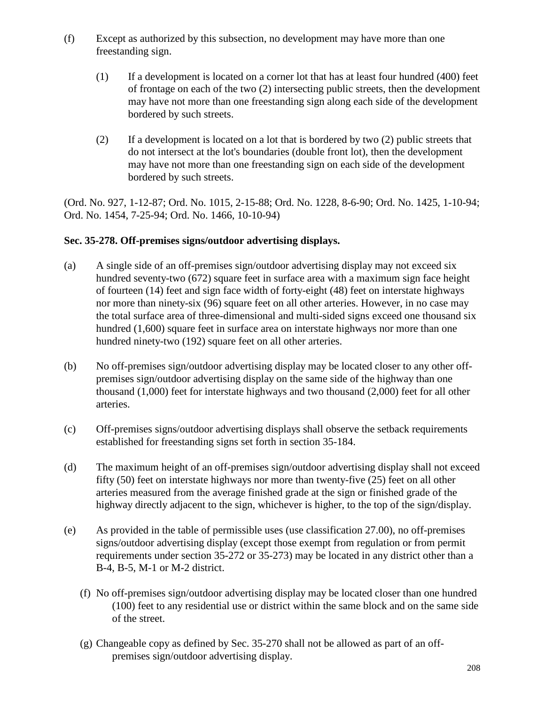- (f) Except as authorized by this subsection, no development may have more than one freestanding sign.
	- (1) If a development is located on a corner lot that has at least four hundred (400) feet of frontage on each of the two (2) intersecting public streets, then the development may have not more than one freestanding sign along each side of the development bordered by such streets.
	- (2) If a development is located on a lot that is bordered by two (2) public streets that do not intersect at the lot's boundaries (double front lot), then the development may have not more than one freestanding sign on each side of the development bordered by such streets.

(Ord. No. 927, 1-12-87; Ord. No. 1015, 2-15-88; Ord. No. 1228, 8-6-90; Ord. No. 1425, 1-10-94; Ord. No. 1454, 7-25-94; Ord. No. 1466, 10-10-94)

### **Sec. 35-278. Off-premises signs/outdoor advertising displays.**

- (a) A single side of an off-premises sign/outdoor advertising display may not exceed six hundred seventy-two (672) square feet in surface area with a maximum sign face height of fourteen (14) feet and sign face width of forty-eight (48) feet on interstate highways nor more than ninety-six (96) square feet on all other arteries. However, in no case may the total surface area of three-dimensional and multi-sided signs exceed one thousand six hundred (1,600) square feet in surface area on interstate highways nor more than one hundred ninety-two (192) square feet on all other arteries.
- (b) No off-premises sign/outdoor advertising display may be located closer to any other offpremises sign/outdoor advertising display on the same side of the highway than one thousand (1,000) feet for interstate highways and two thousand (2,000) feet for all other arteries.
- (c) Off-premises signs/outdoor advertising displays shall observe the setback requirements established for freestanding signs set forth in section 35-184.
- (d) The maximum height of an off-premises sign/outdoor advertising display shall not exceed fifty (50) feet on interstate highways nor more than twenty-five (25) feet on all other arteries measured from the average finished grade at the sign or finished grade of the highway directly adjacent to the sign, whichever is higher, to the top of the sign/display.
- (e) As provided in the table of permissible uses (use classification 27.00), no off-premises signs/outdoor advertising display (except those exempt from regulation or from permit requirements under section 35-272 or 35-273) may be located in any district other than a B-4, B-5, M-1 or M-2 district.
	- (f) No off-premises sign/outdoor advertising display may be located closer than one hundred (100) feet to any residential use or district within the same block and on the same side of the street.
	- (g) Changeable copy as defined by Sec. 35-270 shall not be allowed as part of an offpremises sign/outdoor advertising display.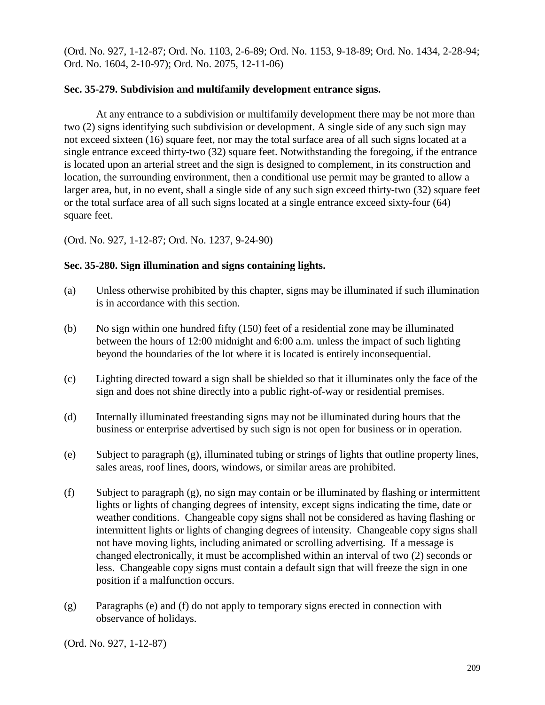(Ord. No. 927, 1-12-87; Ord. No. 1103, 2-6-89; Ord. No. 1153, 9-18-89; Ord. No. 1434, 2-28-94; Ord. No. 1604, 2-10-97); Ord. No. 2075, 12-11-06)

#### **Sec. 35-279. Subdivision and multifamily development entrance signs.**

At any entrance to a subdivision or multifamily development there may be not more than two (2) signs identifying such subdivision or development. A single side of any such sign may not exceed sixteen (16) square feet, nor may the total surface area of all such signs located at a single entrance exceed thirty-two (32) square feet. Notwithstanding the foregoing, if the entrance is located upon an arterial street and the sign is designed to complement, in its construction and location, the surrounding environment, then a conditional use permit may be granted to allow a larger area, but, in no event, shall a single side of any such sign exceed thirty-two (32) square feet or the total surface area of all such signs located at a single entrance exceed sixty-four (64) square feet.

(Ord. No. 927, 1-12-87; Ord. No. 1237, 9-24-90)

#### **Sec. 35-280. Sign illumination and signs containing lights.**

- (a) Unless otherwise prohibited by this chapter, signs may be illuminated if such illumination is in accordance with this section.
- (b) No sign within one hundred fifty (150) feet of a residential zone may be illuminated between the hours of 12:00 midnight and 6:00 a.m. unless the impact of such lighting beyond the boundaries of the lot where it is located is entirely inconsequential.
- (c) Lighting directed toward a sign shall be shielded so that it illuminates only the face of the sign and does not shine directly into a public right-of-way or residential premises.
- (d) Internally illuminated freestanding signs may not be illuminated during hours that the business or enterprise advertised by such sign is not open for business or in operation.
- (e) Subject to paragraph (g), illuminated tubing or strings of lights that outline property lines, sales areas, roof lines, doors, windows, or similar areas are prohibited.
- (f) Subject to paragraph (g), no sign may contain or be illuminated by flashing or intermittent lights or lights of changing degrees of intensity, except signs indicating the time, date or weather conditions. Changeable copy signs shall not be considered as having flashing or intermittent lights or lights of changing degrees of intensity. Changeable copy signs shall not have moving lights, including animated or scrolling advertising. If a message is changed electronically, it must be accomplished within an interval of two (2) seconds or less. Changeable copy signs must contain a default sign that will freeze the sign in one position if a malfunction occurs.
- (g) Paragraphs (e) and (f) do not apply to temporary signs erected in connection with observance of holidays.

(Ord. No. 927, 1-12-87)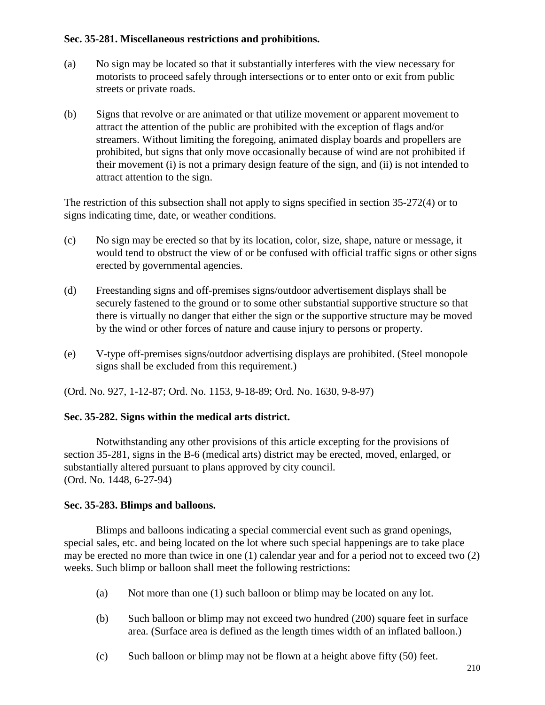#### **Sec. 35-281. Miscellaneous restrictions and prohibitions.**

- (a) No sign may be located so that it substantially interferes with the view necessary for motorists to proceed safely through intersections or to enter onto or exit from public streets or private roads.
- (b) Signs that revolve or are animated or that utilize movement or apparent movement to attract the attention of the public are prohibited with the exception of flags and/or streamers. Without limiting the foregoing, animated display boards and propellers are prohibited, but signs that only move occasionally because of wind are not prohibited if their movement (i) is not a primary design feature of the sign, and (ii) is not intended to attract attention to the sign.

The restriction of this subsection shall not apply to signs specified in section 35-272(4) or to signs indicating time, date, or weather conditions.

- (c) No sign may be erected so that by its location, color, size, shape, nature or message, it would tend to obstruct the view of or be confused with official traffic signs or other signs erected by governmental agencies.
- (d) Freestanding signs and off-premises signs/outdoor advertisement displays shall be securely fastened to the ground or to some other substantial supportive structure so that there is virtually no danger that either the sign or the supportive structure may be moved by the wind or other forces of nature and cause injury to persons or property.
- (e) V-type off-premises signs/outdoor advertising displays are prohibited. (Steel monopole signs shall be excluded from this requirement.)

(Ord. No. 927, 1-12-87; Ord. No. 1153, 9-18-89; Ord. No. 1630, 9-8-97)

### **Sec. 35-282. Signs within the medical arts district.**

Notwithstanding any other provisions of this article excepting for the provisions of section 35-281, signs in the B-6 (medical arts) district may be erected, moved, enlarged, or substantially altered pursuant to plans approved by city council. (Ord. No. 1448, 6-27-94)

#### **Sec. 35-283. Blimps and balloons.**

Blimps and balloons indicating a special commercial event such as grand openings, special sales, etc. and being located on the lot where such special happenings are to take place may be erected no more than twice in one (1) calendar year and for a period not to exceed two (2) weeks. Such blimp or balloon shall meet the following restrictions:

- (a) Not more than one (1) such balloon or blimp may be located on any lot.
- (b) Such balloon or blimp may not exceed two hundred (200) square feet in surface area. (Surface area is defined as the length times width of an inflated balloon.)
- (c) Such balloon or blimp may not be flown at a height above fifty (50) feet.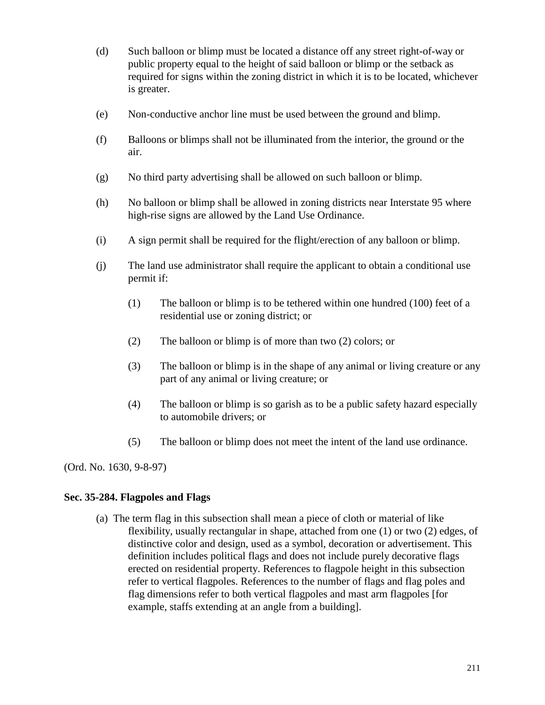- (d) Such balloon or blimp must be located a distance off any street right-of-way or public property equal to the height of said balloon or blimp or the setback as required for signs within the zoning district in which it is to be located, whichever is greater.
- (e) Non-conductive anchor line must be used between the ground and blimp.
- (f) Balloons or blimps shall not be illuminated from the interior, the ground or the air.
- (g) No third party advertising shall be allowed on such balloon or blimp.
- (h) No balloon or blimp shall be allowed in zoning districts near Interstate 95 where high-rise signs are allowed by the Land Use Ordinance.
- (i) A sign permit shall be required for the flight/erection of any balloon or blimp.
- (j) The land use administrator shall require the applicant to obtain a conditional use permit if:
	- (1) The balloon or blimp is to be tethered within one hundred (100) feet of a residential use or zoning district; or
	- (2) The balloon or blimp is of more than two (2) colors; or
	- (3) The balloon or blimp is in the shape of any animal or living creature or any part of any animal or living creature; or
	- (4) The balloon or blimp is so garish as to be a public safety hazard especially to automobile drivers; or
	- (5) The balloon or blimp does not meet the intent of the land use ordinance.

(Ord. No. 1630, 9-8-97)

### **Sec. 35-284. Flagpoles and Flags**

(a) The term flag in this subsection shall mean a piece of cloth or material of like flexibility, usually rectangular in shape, attached from one (1) or two (2) edges, of distinctive color and design, used as a symbol, decoration or advertisement. This definition includes political flags and does not include purely decorative flags erected on residential property. References to flagpole height in this subsection refer to vertical flagpoles. References to the number of flags and flag poles and flag dimensions refer to both vertical flagpoles and mast arm flagpoles [for example, staffs extending at an angle from a building].